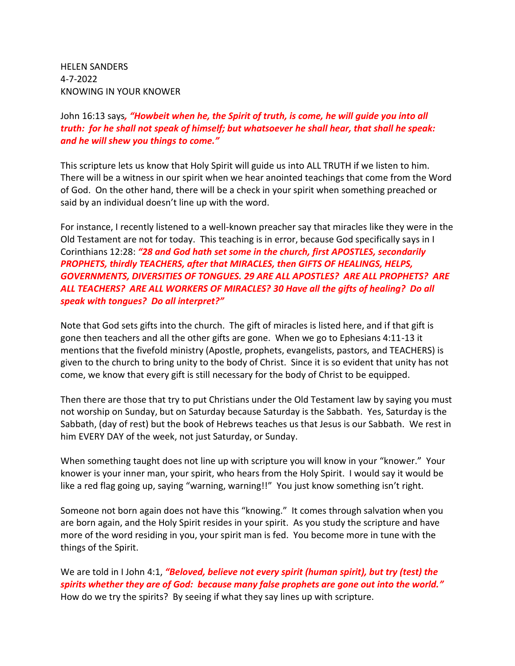HELEN SANDERS 4-7-2022 KNOWING IN YOUR KNOWER

## John 16:13 says*, "Howbeit when he, the Spirit of truth, is come, he will guide you into all truth: for he shall not speak of himself; but whatsoever he shall hear, that shall he speak: and he will shew you things to come."*

This scripture lets us know that Holy Spirit will guide us into ALL TRUTH if we listen to him. There will be a witness in our spirit when we hear anointed teachings that come from the Word of God. On the other hand, there will be a check in your spirit when something preached or said by an individual doesn't line up with the word.

For instance, I recently listened to a well-known preacher say that miracles like they were in the Old Testament are not for today. This teaching is in error, because God specifically says in I Corinthians 12:28: *"28 and God hath set some in the church, first APOSTLES, secondarily PROPHETS, thirdly TEACHERS, after that MIRACLES, then GIFTS OF HEALINGS, HELPS, GOVERNMENTS, DIVERSITIES OF TONGUES. 29 ARE ALL APOSTLES? ARE ALL PROPHETS? ARE ALL TEACHERS? ARE ALL WORKERS OF MIRACLES? 30 Have all the gifts of healing? Do all speak with tongues? Do all interpret?"*

Note that God sets gifts into the church. The gift of miracles is listed here, and if that gift is gone then teachers and all the other gifts are gone. When we go to Ephesians 4:11-13 it mentions that the fivefold ministry (Apostle, prophets, evangelists, pastors, and TEACHERS) is given to the church to bring unity to the body of Christ. Since it is so evident that unity has not come, we know that every gift is still necessary for the body of Christ to be equipped.

Then there are those that try to put Christians under the Old Testament law by saying you must not worship on Sunday, but on Saturday because Saturday is the Sabbath. Yes, Saturday is the Sabbath, (day of rest) but the book of Hebrews teaches us that Jesus is our Sabbath. We rest in him EVERY DAY of the week, not just Saturday, or Sunday.

When something taught does not line up with scripture you will know in your "knower." Your knower is your inner man, your spirit, who hears from the Holy Spirit. I would say it would be like a red flag going up, saying "warning, warning!!" You just know something isn't right.

Someone not born again does not have this "knowing." It comes through salvation when you are born again, and the Holy Spirit resides in your spirit. As you study the scripture and have more of the word residing in you, your spirit man is fed. You become more in tune with the things of the Spirit.

We are told in I John 4:1, *"Beloved, believe not every spirit (human spirit), but try (test) the spirits whether they are of God: because many false prophets are gone out into the world."* How do we try the spirits? By seeing if what they say lines up with scripture.